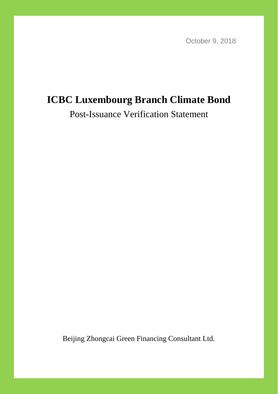October 9, 2018

# **ICBC Luxembourg Branch Climate Bond**

Post-Issuance Verification Statement

Beijing Zhongcai Green Financing Consultant Ltd.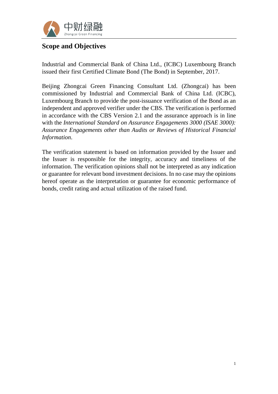

### **Scope and Objectives**

Industrial and Commercial Bank of China Ltd., (ICBC) Luxembourg Branch issued their first Certified Climate Bond (The Bond) in September, 2017.

Beijing Zhongcai Green Financing Consultant Ltd. (Zhongcai) has been commissioned by Industrial and Commercial Bank of China Ltd. (ICBC), Luxembourg Branch to provide the post-issuance verification of the Bond as an independent and approved verifier under the CBS. The verification is performed in accordance with the CBS Version 2.1 and the assurance approach is in line with the *International Standard on Assurance Engagements 3000 (ISAE 3000): Assurance Engagements other than Audits or Reviews of Historical Financial Information*.

The verification statement is based on information provided by the Issuer and the Issuer is responsible for the integrity, accuracy and timeliness of the information. The verification opinions shall not be interpreted as any indication or guarantee for relevant bond investment decisions. In no case may the opinions hereof operate as the interpretation or guarantee for economic performance of bonds, credit rating and actual utilization of the raised fund.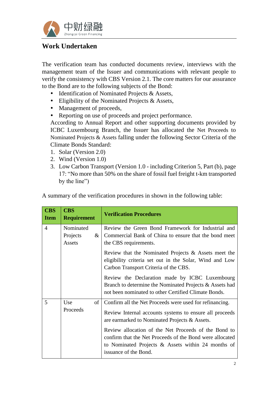

### **Work Undertaken**

The verification team has conducted documents review, interviews with the management team of the Issuer and communications with relevant people to verify the consistency with CBS Version 2.1. The core matters for our assurance to the Bond are to the following subjects of the Bond:

- Identification of Nominated Projects & Assets,
- Eligibility of the Nominated Projects & Assets,
- Management of proceeds,
- Reporting on use of proceeds and project performance.

According to Annual Report and other supporting documents provided by ICBC Luxembourg Branch, the Issuer has allocated the Net Proceeds to Nominated Projects & Assets falling under the following Sector Criteria of the Climate Bonds Standard:

- 1. Solar (Version 2.0)
- 2. Wind (Version 1.0)
- 3. Low Carbon Transport (Version 1.0 including Criterion 5, Part (b), page 17: "No more than 50% on the share of fossil fuel freight t-km transported by the line")

| <b>CBS</b><br><b>Requirement</b>        | <b>Verification Procedures</b>                                                                                                                                                                                                                                                                                                                                         |  |
|-----------------------------------------|------------------------------------------------------------------------------------------------------------------------------------------------------------------------------------------------------------------------------------------------------------------------------------------------------------------------------------------------------------------------|--|
| Nominated<br>Projects<br>$\&$<br>Assets | Review the Green Bond Framework for Industrial and<br>Commercial Bank of China to ensure that the bond meet<br>the CBS requirements.                                                                                                                                                                                                                                   |  |
|                                         | Review that the Nominated Projects & Assets meet the<br>eligibility criteria set out in the Solar, Wind and Low<br>Carbon Transport Criteria of the CBS.                                                                                                                                                                                                               |  |
|                                         | Review the Declaration made by ICBC Luxembourg<br>Branch to determine the Nominated Projects & Assets had<br>not been nominated to other Certified Climate Bonds.                                                                                                                                                                                                      |  |
| Use<br>of <sub>1</sub><br>Proceeds      | Confirm all the Net Proceeds were used for refinancing.<br>Review Internal accounts systems to ensure all proceeds<br>are earmarked to Nominated Projects & Assets.<br>Review allocation of the Net Proceeds of the Bond to<br>confirm that the Net Proceeds of the Bond were allocated<br>to Nominated Projects & Assets within 24 months of<br>issuance of the Bond. |  |
|                                         |                                                                                                                                                                                                                                                                                                                                                                        |  |

A summary of the verification procedures in shown in the following table: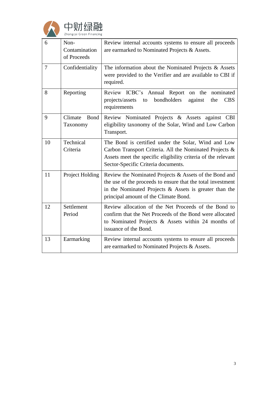

| 6              | Non-<br>Contamination<br>of Proceeds | Review internal accounts systems to ensure all proceeds<br>are earmarked to Nominated Projects & Assets.                                                                                                                    |  |
|----------------|--------------------------------------|-----------------------------------------------------------------------------------------------------------------------------------------------------------------------------------------------------------------------------|--|
| $\overline{7}$ | Confidentiality                      | The information about the Nominated Projects $\&$ Assets<br>were provided to the Verifier and are available to CBI if<br>required.                                                                                          |  |
| 8              | Reporting                            | Review ICBC's Annual Report<br>on the<br>nominated<br>bondholders<br>against<br>projects/assets<br>the<br><b>CBS</b><br>to<br>requirements                                                                                  |  |
| 9              | Climate<br><b>Bond</b><br>Taxonomy   | Review Nominated Projects & Assets against CBI<br>eligibility taxonomy of the Solar, Wind and Low Carbon<br>Transport.                                                                                                      |  |
| 10             | Technical<br>Criteria                | The Bond is certified under the Solar, Wind and Low<br>Carbon Transport Criteria. All the Nominated Projects &<br>Assets meet the specific eligibility criteria of the relevant<br>Sector-Specific Criteria documents.      |  |
| 11             | Project Holding                      | Review the Nominated Projects & Assets of the Bond and<br>the use of the proceeds to ensure that the total investment<br>in the Nominated Projects $\&$ Assets is greater than the<br>principal amount of the Climate Bond. |  |
| 12             | Settlement<br>Period                 | Review allocation of the Net Proceeds of the Bond to<br>confirm that the Net Proceeds of the Bond were allocated<br>to Nominated Projects & Assets within 24 months of<br>issuance of the Bond.                             |  |
| 13             | Earmarking                           | Review internal accounts systems to ensure all proceeds<br>are earmarked to Nominated Projects & Assets.                                                                                                                    |  |